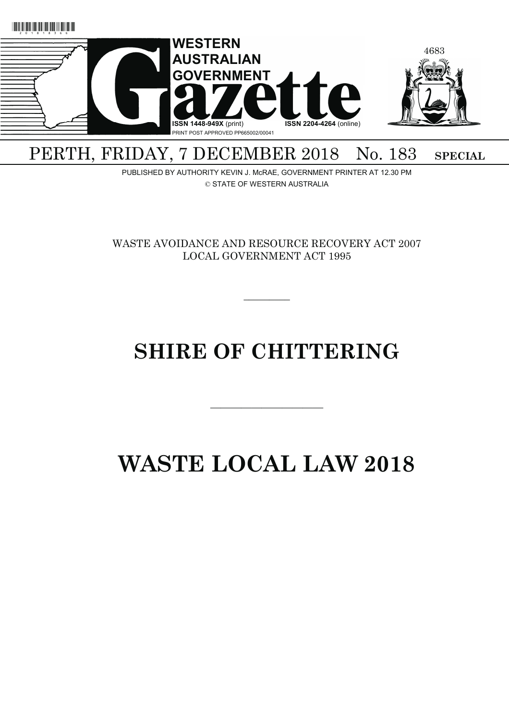

## PERTH, FRIDAY, 7 DECEMBER 2018 No. 183 SPECIAL

PUBLISHED BY AUTHORITY KEVIN J. McRAE, GOVERNMENT PRINTER AT 12.30 PM © STATE OF WESTERN AUSTRALIA

WASTE AVOIDANCE AND RESOURCE RECOVERY ACT 2007 LOCAL GOVERNMENT ACT 1995

 $\overline{\phantom{a}}$ 

# **SHIRE OF CHITTERING**

———————————

# **WASTE LOCAL LAW 2018**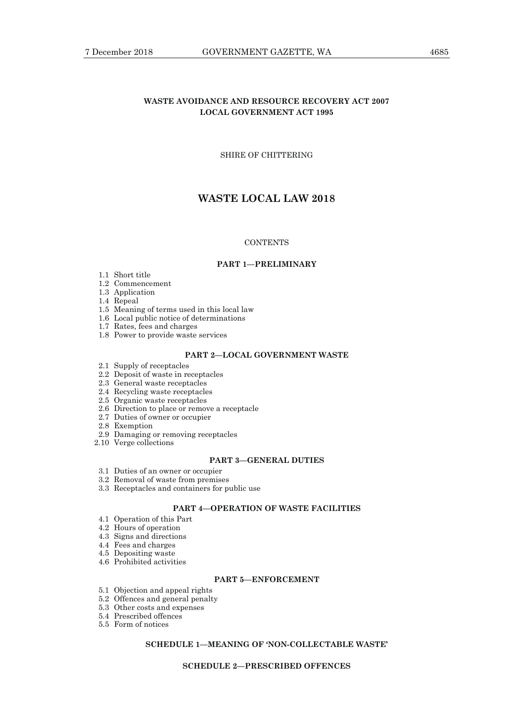## **WASTE AVOIDANCE AND RESOURCE RECOVERY ACT 2007 LOCAL GOVERNMENT ACT 1995**

## SHIRE OF CHITTERING

## **WASTE LOCAL LAW 2018**

### **CONTENTS**

#### **PART 1—PRELIMINARY**

- 1.1 Short title
- 1.2 Commencement
- 1.3 Application
- 1.4 Repeal
- 1.5 Meaning of terms used in this local law
- 1.6 Local public notice of determinations
- 1.7 Rates, fees and charges
- 1.8 Power to provide waste services

## **PART 2—LOCAL GOVERNMENT WASTE**

- 2.1 Supply of receptacles
- 2.2 Deposit of waste in receptacles
- 2.3 General waste receptacles
- 2.4 Recycling waste receptacles
- 2.5 Organic waste receptacles
- 2.6 Direction to place or remove a receptacle
- 2.7 Duties of owner or occupier
- 2.8 Exemption
- 2.9 Damaging or removing receptacles
- 2.10 Verge collections

#### **PART 3—GENERAL DUTIES**

- 3.1 Duties of an owner or occupier
- 3.2 Removal of waste from premises
- 3.3 Receptacles and containers for public use

## **PART 4—OPERATION OF WASTE FACILITIES**

- 4.1 Operation of this Part
- 4.2 Hours of operation
- 4.3 Signs and directions
- 4.4 Fees and charges
- 4.5 Depositing waste
- 4.6 Prohibited activities

### **PART 5—ENFORCEMENT**

- 5.1 Objection and appeal rights
- 5.2 Offences and general penalty
- 5.3 Other costs and expenses
- 5.4 Prescribed offences
- 5.5 Form of notices

## **SCHEDULE 1—MEANING OF 'NON-COLLECTABLE WASTE'**

## **SCHEDULE 2—PRESCRIBED OFFENCES**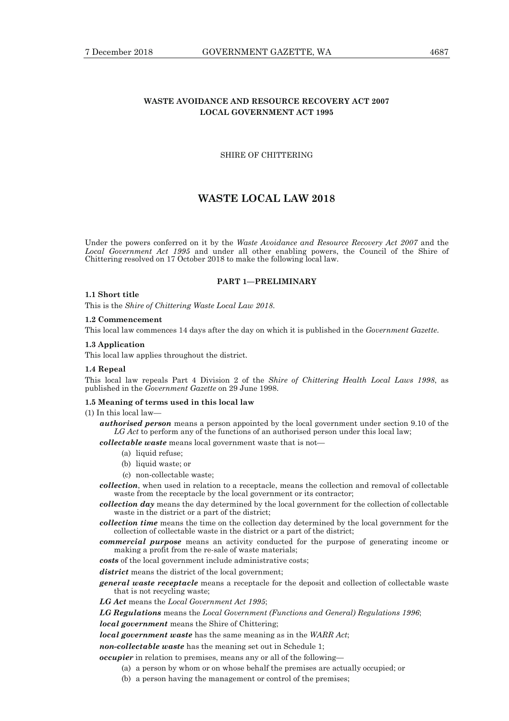## **WASTE AVOIDANCE AND RESOURCE RECOVERY ACT 2007 LOCAL GOVERNMENT ACT 1995**

### SHIRE OF CHITTERING

## **WASTE LOCAL LAW 2018**

Under the powers conferred on it by the *Waste Avoidance and Resource Recovery Act 2007* and the *Local Government Act 1995* and under all other enabling powers, the Council of the Shire of Chittering resolved on 17 October 2018 to make the following local law.

#### **PART 1—PRELIMINARY**

#### **1.1 Short title**

This is the *Shire of Chittering Waste Local Law 2018*.

#### **1.2 Commencement**

This local law commences 14 days after the day on which it is published in the *Government Gazette*.

#### **1.3 Application**

This local law applies throughout the district.

#### **1.4 Repeal**

This local law repeals Part 4 Division 2 of the *Shire of Chittering Health Local Laws 1998*, as published in the *Government Gazette* on 29 June 1998.

#### **1.5 Meaning of terms used in this local law**

(1) In this local law—

*authorised person* means a person appointed by the local government under section 9.10 of the LG Act to perform any of the functions of an authorised person under this local law;

*collectable waste* means local government waste that is not—

- (a) liquid refuse;
- (b) liquid waste; or
- (c) non-collectable waste;

*collection*, when used in relation to a receptacle, means the collection and removal of collectable waste from the receptacle by the local government or its contractor;

*collection day* means the day determined by the local government for the collection of collectable waste in the district or a part of the district;

- *collection time* means the time on the collection day determined by the local government for the collection of collectable waste in the district or a part of the district;
- *commercial purpose* means an activity conducted for the purpose of generating income or making a profit from the re-sale of waste materials;

*costs* of the local government include administrative costs;

*district* means the district of the local government;

*general waste receptacle* means a receptacle for the deposit and collection of collectable waste that is not recycling waste;

*LG Act* means the *Local Government Act 1995*;

*LG Regulations* means the *Local Government (Functions and General) Regulations 1996*;

*local government* means the Shire of Chittering;

*local government waste* has the same meaning as in the *WARR Act*;

*non-collectable waste* has the meaning set out in Schedule 1;

*occupier* in relation to premises, means any or all of the following—

(a) a person by whom or on whose behalf the premises are actually occupied; or

(b) a person having the management or control of the premises;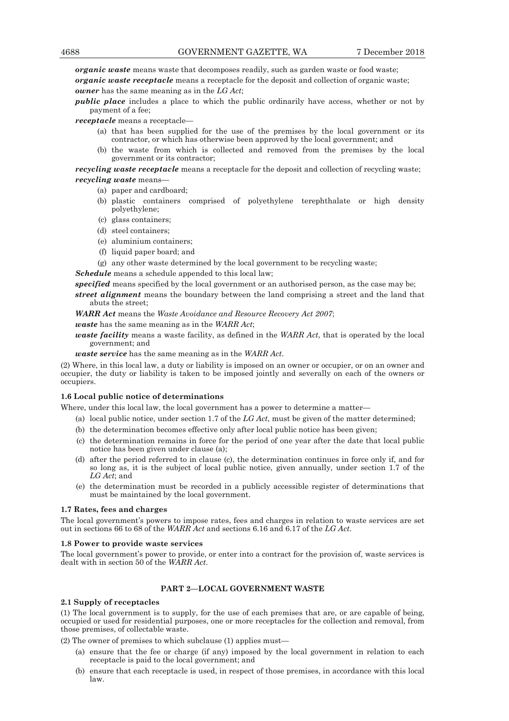*organic waste* means waste that decomposes readily, such as garden waste or food waste; *organic waste receptacle* means a receptacle for the deposit and collection of organic waste;

*owner* has the same meaning as in the *LG Act*;

*public place* includes a place to which the public ordinarily have access, whether or not by payment of a fee;

*receptacle* means a receptacle—

- (a) that has been supplied for the use of the premises by the local government or its contractor, or which has otherwise been approved by the local government; and
- (b) the waste from which is collected and removed from the premises by the local government or its contractor;

*recycling waste receptacle* means a receptacle for the deposit and collection of recycling waste; *recycling waste* means—

- (a) paper and cardboard;
- (b) plastic containers comprised of polyethylene terephthalate or high density polyethylene;
- (c) glass containers;
- (d) steel containers;
- (e) aluminium containers;
- (f) liquid paper board; and
- (g) any other waste determined by the local government to be recycling waste;

*Schedule* means a schedule appended to this local law;

*specified* means specified by the local government or an authorised person, as the case may be; *street alignment* means the boundary between the land comprising a street and the land that abuts the street;

*WARR Act* means the *Waste Avoidance and Resource Recovery Act 2007*;

*waste* has the same meaning as in the *WARR Act*;

*waste facility* means a waste facility, as defined in the *WARR Act*, that is operated by the local government; and

*waste service* has the same meaning as in the *WARR Act*.

(2) Where, in this local law, a duty or liability is imposed on an owner or occupier, or on an owner and occupier, the duty or liability is taken to be imposed jointly and severally on each of the owners or occupiers.

### **1.6 Local public notice of determinations**

Where, under this local law, the local government has a power to determine a matter—

- (a) local public notice, under section 1.7 of the *LG Act*, must be given of the matter determined;
- (b) the determination becomes effective only after local public notice has been given;
- (c) the determination remains in force for the period of one year after the date that local public notice has been given under clause (a);
- (d) after the period referred to in clause (c), the determination continues in force only if, and for so long as, it is the subject of local public notice, given annually, under section 1.7 of the *LG Act*; and
- (e) the determination must be recorded in a publicly accessible register of determinations that must be maintained by the local government.

#### **1.7 Rates, fees and charges**

The local government's powers to impose rates, fees and charges in relation to waste services are set out in sections 66 to 68 of the *WARR Act* and sections 6.16 and 6.17 of the *LG Act*.

#### **1.8 Power to provide waste services**

The local government's power to provide, or enter into a contract for the provision of, waste services is dealt with in section 50 of the *WARR Act*.

#### **PART 2—LOCAL GOVERNMENT WASTE**

#### **2.1 Supply of receptacles**

(1) The local government is to supply, for the use of each premises that are, or are capable of being, occupied or used for residential purposes, one or more receptacles for the collection and removal, from those premises, of collectable waste.

(2) The owner of premises to which subclause (1) applies must—

- (a) ensure that the fee or charge (if any) imposed by the local government in relation to each receptacle is paid to the local government; and
- (b) ensure that each receptacle is used, in respect of those premises, in accordance with this local law.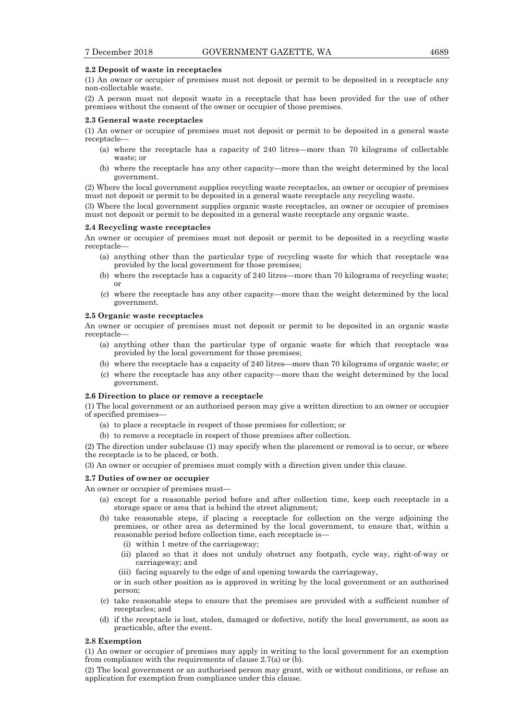#### **2.2 Deposit of waste in receptacles**

(1) An owner or occupier of premises must not deposit or permit to be deposited in a receptacle any non-collectable waste.

(2) A person must not deposit waste in a receptacle that has been provided for the use of other premises without the consent of the owner or occupier of those premises.

#### **2.3 General waste receptacles**

(1) An owner or occupier of premises must not deposit or permit to be deposited in a general waste receptacle—

- (a) where the receptacle has a capacity of 240 litres—more than 70 kilograms of collectable waste; or
- (b) where the receptacle has any other capacity—more than the weight determined by the local government.

(2) Where the local government supplies recycling waste receptacles, an owner or occupier of premises must not deposit or permit to be deposited in a general waste receptacle any recycling waste.

(3) Where the local government supplies organic waste receptacles, an owner or occupier of premises must not deposit or permit to be deposited in a general waste receptacle any organic waste.

#### **2.4 Recycling waste receptacles**

An owner or occupier of premises must not deposit or permit to be deposited in a recycling waste receptacle—

- (a) anything other than the particular type of recycling waste for which that receptacle was provided by the local government for those premises;
- (b) where the receptacle has a capacity of 240 litres—more than 70 kilograms of recycling waste; or
- (c) where the receptacle has any other capacity—more than the weight determined by the local government.

#### **2.5 Organic waste receptacles**

An owner or occupier of premises must not deposit or permit to be deposited in an organic waste receptacle—

- (a) anything other than the particular type of organic waste for which that receptacle was provided by the local government for those premises;
- (b) where the receptacle has a capacity of 240 litres—more than 70 kilograms of organic waste; or
- (c) where the receptacle has any other capacity—more than the weight determined by the local government.

#### **2.6 Direction to place or remove a receptacle**

(1) The local government or an authorised person may give a written direction to an owner or occupier of specified premises—

- (a) to place a receptacle in respect of those premises for collection; or
- (b) to remove a receptacle in respect of those premises after collection.

(2) The direction under subclause (1) may specify when the placement or removal is to occur, or where the receptacle is to be placed, or both.

(3) An owner or occupier of premises must comply with a direction given under this clause.

#### **2.7 Duties of owner or occupier**

An owner or occupier of premises must—

- (a) except for a reasonable period before and after collection time, keep each receptacle in a storage space or area that is behind the street alignment;
- (b) take reasonable steps, if placing a receptacle for collection on the verge adjoining the premises, or other area as determined by the local government, to ensure that, within a reasonable period before collection time, each receptacle is—
	- (i) within 1 metre of the carriageway;
	- (ii) placed so that it does not unduly obstruct any footpath, cycle way, right-of-way or carriageway; and
	- (iii) facing squarely to the edge of and opening towards the carriageway,

 or in such other position as is approved in writing by the local government or an authorised person;

- (c) take reasonable steps to ensure that the premises are provided with a sufficient number of receptacles; and
- (d) if the receptacle is lost, stolen, damaged or defective, notify the local government, as soon as practicable, after the event.

#### **2.8 Exemption**

(1) An owner or occupier of premises may apply in writing to the local government for an exemption from compliance with the requirements of clause 2.7(a) or (b).

(2) The local government or an authorised person may grant, with or without conditions, or refuse an application for exemption from compliance under this clause.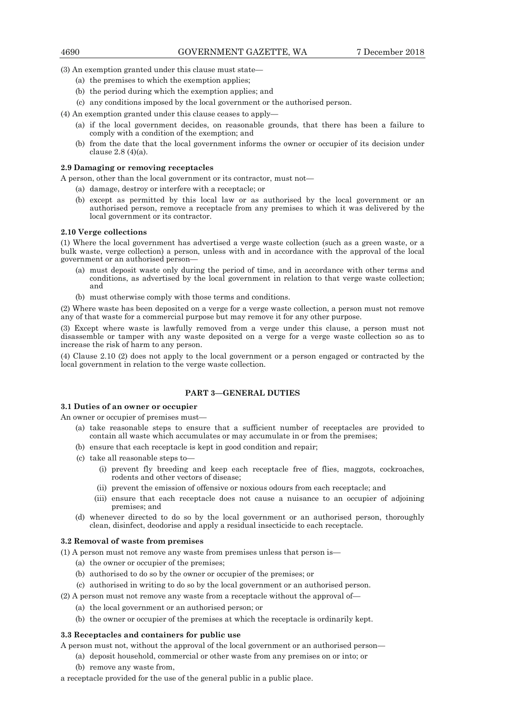(3) An exemption granted under this clause must state—

- (a) the premises to which the exemption applies;
- (b) the period during which the exemption applies; and
- (c) any conditions imposed by the local government or the authorised person.
- (4) An exemption granted under this clause ceases to apply—
	- (a) if the local government decides, on reasonable grounds, that there has been a failure to comply with a condition of the exemption; and
	- (b) from the date that the local government informs the owner or occupier of its decision under clause 2.8 (4)(a).

#### **2.9 Damaging or removing receptacles**

A person, other than the local government or its contractor, must not—

(a) damage, destroy or interfere with a receptacle; or

 (b) except as permitted by this local law or as authorised by the local government or an authorised person, remove a receptacle from any premises to which it was delivered by the local government or its contractor.

#### **2.10 Verge collections**

(1) Where the local government has advertised a verge waste collection (such as a green waste, or a bulk waste, verge collection) a person, unless with and in accordance with the approval of the local government or an authorised person—

- (a) must deposit waste only during the period of time, and in accordance with other terms and conditions, as advertised by the local government in relation to that verge waste collection; and
- (b) must otherwise comply with those terms and conditions.

(2) Where waste has been deposited on a verge for a verge waste collection, a person must not remove any of that waste for a commercial purpose but may remove it for any other purpose.

(3) Except where waste is lawfully removed from a verge under this clause, a person must not disassemble or tamper with any waste deposited on a verge for a verge waste collection so as to increase the risk of harm to any person.

(4) Clause 2.10 (2) does not apply to the local government or a person engaged or contracted by the local government in relation to the verge waste collection.

## **PART 3—GENERAL DUTIES**

## **3.1 Duties of an owner or occupier**

An owner or occupier of premises must—

- (a) take reasonable steps to ensure that a sufficient number of receptacles are provided to contain all waste which accumulates or may accumulate in or from the premises;
- (b) ensure that each receptacle is kept in good condition and repair;
- (c) take all reasonable steps to—
	- (i) prevent fly breeding and keep each receptacle free of flies, maggots, cockroaches, rodents and other vectors of disease;
	- (ii) prevent the emission of offensive or noxious odours from each receptacle; and
	- (iii) ensure that each receptacle does not cause a nuisance to an occupier of adjoining premises; and
- (d) whenever directed to do so by the local government or an authorised person, thoroughly clean, disinfect, deodorise and apply a residual insecticide to each receptacle.

#### **3.2 Removal of waste from premises**

(1) A person must not remove any waste from premises unless that person is—

- (a) the owner or occupier of the premises;
- (b) authorised to do so by the owner or occupier of the premises; or
- (c) authorised in writing to do so by the local government or an authorised person.
- (2) A person must not remove any waste from a receptacle without the approval of—
	- (a) the local government or an authorised person; or
	- (b) the owner or occupier of the premises at which the receptacle is ordinarily kept.

#### **3.3 Receptacles and containers for public use**

A person must not, without the approval of the local government or an authorised person—

- (a) deposit household, commercial or other waste from any premises on or into; or
	- (b) remove any waste from,

a receptacle provided for the use of the general public in a public place.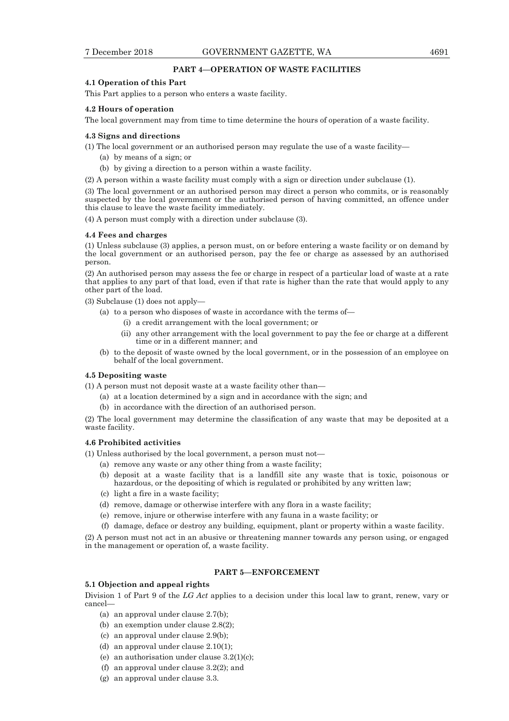## **PART 4—OPERATION OF WASTE FACILITIES**

#### **4.1 Operation of this Part**

This Part applies to a person who enters a waste facility.

#### **4.2 Hours of operation**

The local government may from time to time determine the hours of operation of a waste facility.

#### **4.3 Signs and directions**

(1) The local government or an authorised person may regulate the use of a waste facility—

- (a) by means of a sign; or
- (b) by giving a direction to a person within a waste facility.

(2) A person within a waste facility must comply with a sign or direction under subclause (1).

(3) The local government or an authorised person may direct a person who commits, or is reasonably suspected by the local government or the authorised person of having committed, an offence under this clause to leave the waste facility immediately.

(4) A person must comply with a direction under subclause (3).

#### **4.4 Fees and charges**

(1) Unless subclause (3) applies, a person must, on or before entering a waste facility or on demand by the local government or an authorised person, pay the fee or charge as assessed by an authorised person.

(2) An authorised person may assess the fee or charge in respect of a particular load of waste at a rate that applies to any part of that load, even if that rate is higher than the rate that would apply to any other part of the load.

(3) Subclause (1) does not apply—

- (a) to a person who disposes of waste in accordance with the terms of—
	- (i) a credit arrangement with the local government; or
	- (ii) any other arrangement with the local government to pay the fee or charge at a different time or in a different manner; and
- (b) to the deposit of waste owned by the local government, or in the possession of an employee on behalf of the local government.

#### **4.5 Depositing waste**

(1) A person must not deposit waste at a waste facility other than—

- (a) at a location determined by a sign and in accordance with the sign; and
- (b) in accordance with the direction of an authorised person.

(2) The local government may determine the classification of any waste that may be deposited at a waste facility.

#### **4.6 Prohibited activities**

(1) Unless authorised by the local government, a person must not—

- (a) remove any waste or any other thing from a waste facility;
- (b) deposit at a waste facility that is a landfill site any waste that is toxic, poisonous or hazardous, or the depositing of which is regulated or prohibited by any written law;
- (c) light a fire in a waste facility;
- (d) remove, damage or otherwise interfere with any flora in a waste facility;
- (e) remove, injure or otherwise interfere with any fauna in a waste facility; or
- (f) damage, deface or destroy any building, equipment, plant or property within a waste facility.

(2) A person must not act in an abusive or threatening manner towards any person using, or engaged in the management or operation of, a waste facility.

## **PART 5—ENFORCEMENT**

## **5.1 Objection and appeal rights**

Division 1 of Part 9 of the *LG Act* applies to a decision under this local law to grant, renew, vary or cancel—

- (a) an approval under clause 2.7(b);
- (b) an exemption under clause 2.8(2);
- (c) an approval under clause 2.9(b);
- (d) an approval under clause 2.10(1);
- (e) an authorisation under clause  $3.2(1)(c)$ ;
- (f) an approval under clause 3.2(2); and
- (g) an approval under clause 3.3.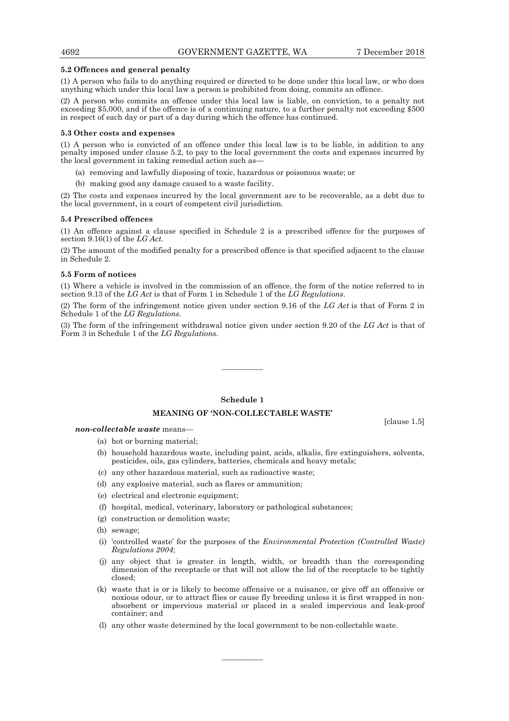[clause 1.5]

#### **5.2 Offences and general penalty**

(1) A person who fails to do anything required or directed to be done under this local law, or who does anything which under this local law a person is prohibited from doing, commits an offence.

(2) A person who commits an offence under this local law is liable, on conviction, to a penalty not exceeding \$5,000, and if the offence is of a continuing nature, to a further penalty not exceeding \$500 in respect of each day or part of a day during which the offence has continued.

#### **5.3 Other costs and expenses**

(1) A person who is convicted of an offence under this local law is to be liable, in addition to any penalty imposed under clause 5.2, to pay to the local government the costs and expenses incurred by the local government in taking remedial action such as—

- (a) removing and lawfully disposing of toxic, hazardous or poisonous waste; or
- (b) making good any damage caused to a waste facility.

(2) The costs and expenses incurred by the local government are to be recoverable, as a debt due to the local government, in a court of competent civil jurisdiction.

#### **5.4 Prescribed offences**

(1) An offence against a clause specified in Schedule 2 is a prescribed offence for the purposes of section 9.16(1) of the *LG Act*.

(2) The amount of the modified penalty for a prescribed offence is that specified adjacent to the clause in Schedule 2.

#### **5.5 Form of notices**

(1) Where a vehicle is involved in the commission of an offence, the form of the notice referred to in section 9.13 of the *LG Act* is that of Form 1 in Schedule 1 of the *LG Regulations*.

(2) The form of the infringement notice given under section 9.16 of the *LG Act* is that of Form 2 in Schedule 1 of the *LG Regulations*.

(3) The form of the infringement withdrawal notice given under section 9.20 of the *LG Act* is that of Form 3 in Schedule 1 of the *LG Regulations*.

————

## **Schedule 1**

#### **MEANING OF 'NON-COLLECTABLE WASTE'**

*non-collectable waste* means—

- (a) hot or burning material;
- (b) household hazardous waste, including paint, acids, alkalis, fire extinguishers, solvents, pesticides, oils, gas cylinders, batteries, chemicals and heavy metals;
- (c) any other hazardous material, such as radioactive waste;
- (d) any explosive material, such as flares or ammunition;
- (e) electrical and electronic equipment;
- (f) hospital, medical, veterinary, laboratory or pathological substances;
- (g) construction or demolition waste;
- (h) sewage;
- (i) 'controlled waste' for the purposes of the *Environmental Protection (Controlled Waste) Regulations 2004*;
- (j) any object that is greater in length, width, or breadth than the corresponding dimension of the receptacle or that will not allow the lid of the receptacle to be tightly closed;
- (k) waste that is or is likely to become offensive or a nuisance, or give off an offensive or noxious odour, or to attract flies or cause fly breeding unless it is first wrapped in nonabsorbent or impervious material or placed in a sealed impervious and leak-proof container; and
- (l) any other waste determined by the local government to be non-collectable waste.

————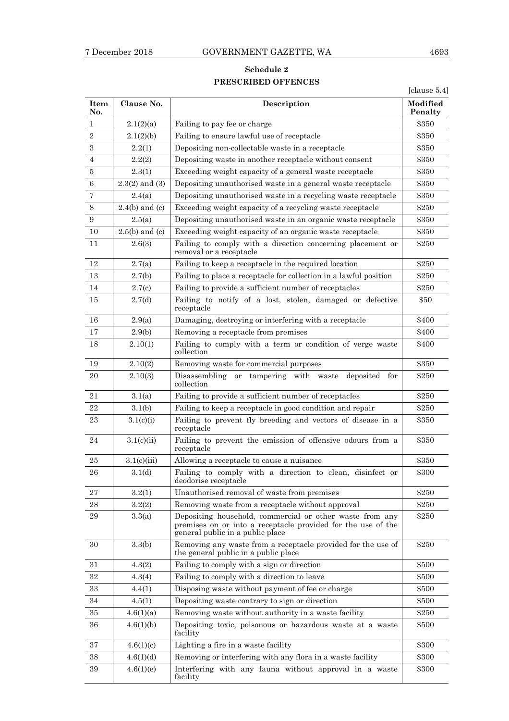## **Schedule 2 PRESCRIBED OFFENCES**

[clause 5.4]

| <b>Item</b><br>No. | Clause No.         | Description                                                                                                                                                  | Modified<br>Penalty |
|--------------------|--------------------|--------------------------------------------------------------------------------------------------------------------------------------------------------------|---------------------|
| 1                  | 2.1(2)(a)          | Failing to pay fee or charge                                                                                                                                 | \$350               |
| $\overline{2}$     | 2.1(2)(b)          | Failing to ensure lawful use of receptacle                                                                                                                   | \$350               |
| $\boldsymbol{3}$   | 2.2(1)             | Depositing non-collectable waste in a receptacle                                                                                                             | \$350               |
| 4                  | 2.2(2)             | Depositing waste in another receptacle without consent                                                                                                       | \$350               |
| $\overline{5}$     | 2.3(1)             | Exceeding weight capacity of a general waste receptacle                                                                                                      | \$350               |
| $\,6\,$            | $2.3(2)$ and $(3)$ | Depositing unauthorised waste in a general waste receptacle                                                                                                  | \$350               |
| 7                  | 2.4(a)             | Depositing unauthorised waste in a recycling waste receptacle                                                                                                | \$350               |
| $8\,$              | $2.4(b)$ and (c)   | Exceeding weight capacity of a recycling waste receptacle                                                                                                    | \$250               |
| $\boldsymbol{9}$   | 2.5(a)             | Depositing unauthorised waste in an organic waste receptacle                                                                                                 | \$350               |
| 10                 | $2.5(b)$ and (c)   | Exceeding weight capacity of an organic waste receptacle                                                                                                     | \$350               |
| 11                 | 2.6(3)             | Failing to comply with a direction concerning placement or<br>removal or a receptacle                                                                        | \$250               |
| 12                 | 2.7(a)             | Failing to keep a receptacle in the required location                                                                                                        | \$250               |
| 13                 | 2.7(b)             | Failing to place a receptacle for collection in a lawful position                                                                                            | \$250               |
| 14                 | 2.7(c)             | Failing to provide a sufficient number of receptacles                                                                                                        | \$250               |
| 15                 | 2.7(d)             | Failing to notify of a lost, stolen, damaged or defective<br>receptacle                                                                                      | \$50                |
| 16                 | 2.9(a)             | Damaging, destroying or interfering with a receptacle                                                                                                        | \$400               |
| 17                 | 2.9(b)             | Removing a receptacle from premises                                                                                                                          | \$400               |
| 18                 | 2.10(1)            | Failing to comply with a term or condition of verge waste<br>collection                                                                                      | \$400               |
| 19                 | 2.10(2)            | Removing waste for commercial purposes                                                                                                                       | \$350               |
| 20                 | 2.10(3)            | Disassembling<br>tampering with waste<br>deposited for<br>or<br>collection                                                                                   | \$250               |
| 21                 | 3.1(a)             | Failing to provide a sufficient number of receptacles                                                                                                        | \$250               |
| 22                 | 3.1(b)             | Failing to keep a receptacle in good condition and repair                                                                                                    | \$250               |
| 23                 | 3.1(c)(i)          | Failing to prevent fly breeding and vectors of disease in a<br>receptacle                                                                                    | \$350               |
| 24                 | 3.1(c)(ii)         | Failing to prevent the emission of offensive odours from a<br>receptacle                                                                                     | \$350               |
| 25                 | 3.1(c)(iii)        | Allowing a receptacle to cause a nuisance                                                                                                                    | \$350               |
| 26                 | 3.1(d)             | Failing to comply with a direction to clean, disinfect or<br>deodorise receptacle                                                                            | \$300               |
| 27                 | 3.2(1)             | Unauthorised removal of waste from premises                                                                                                                  | \$250               |
| 28                 | 3.2(2)             | Removing waste from a receptacle without approval                                                                                                            | \$250               |
| 29                 | 3.3(a)             | Depositing household, commercial or other waste from any<br>premises on or into a receptacle provided for the use of the<br>general public in a public place | \$250               |
| 30                 | 3.3(b)             | Removing any waste from a receptacle provided for the use of<br>the general public in a public place                                                         | \$250               |
| 31                 | 4.3(2)             | Failing to comply with a sign or direction                                                                                                                   | \$500               |
| 32                 | 4.3(4)             | Failing to comply with a direction to leave                                                                                                                  | \$500               |
| 33                 | 4.4(1)             | Disposing waste without payment of fee or charge                                                                                                             | \$500               |
| 34                 | 4.5(1)             | Depositing waste contrary to sign or direction                                                                                                               | \$500               |
| 35                 | 4.6(1)(a)          | Removing waste without authority in a waste facility                                                                                                         | \$250               |
| 36                 | 4.6(1)(b)          | Depositing toxic, poisonous or hazardous waste at a waste<br>facility                                                                                        | \$500               |
| 37                 | 4.6(1)(c)          | Lighting a fire in a waste facility                                                                                                                          | \$300               |
| 38                 | 4.6(1)(d)          | Removing or interfering with any flora in a waste facility                                                                                                   | \$300               |
| 39                 | 4.6(1)(e)          | Interfering with any fauna without approval in a waste<br>facility                                                                                           | \$300               |